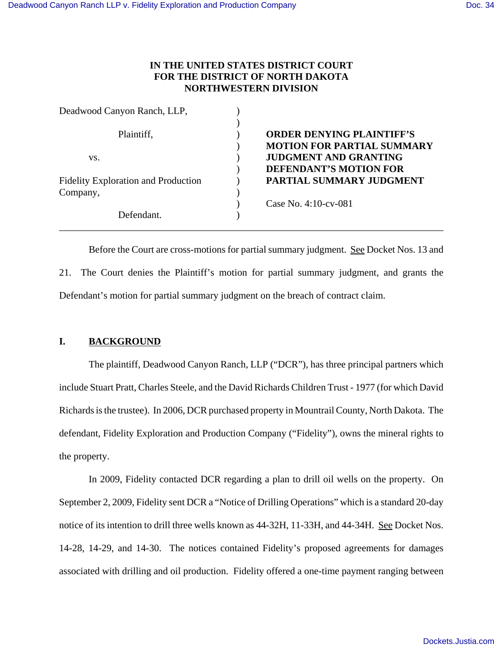# **IN THE UNITED STATES DISTRICT COURT FOR THE DISTRICT OF NORTH DAKOTA NORTHWESTERN DIVISION**

| Deadwood Canyon Ranch, LLP,                |                                   |
|--------------------------------------------|-----------------------------------|
| Plaintiff,                                 | <b>ORDER DENYING PLAINTIFF'S</b>  |
|                                            | <b>MOTION FOR PARTIAL SUMMARY</b> |
| VS.                                        | <b>JUDGMENT AND GRANTING</b>      |
|                                            | <b>DEFENDANT'S MOTION FOR</b>     |
| <b>Fidelity Exploration and Production</b> | PARTIAL SUMMARY JUDGMENT          |
| Company,                                   |                                   |
|                                            | Case No. $4:10$ -cv-081           |
| Defendant.                                 |                                   |

Before the Court are cross-motions for partial summary judgment. See Docket Nos. 13 and 21. The Court denies the Plaintiff's motion for partial summary judgment, and grants the Defendant's motion for partial summary judgment on the breach of contract claim.

## **I. BACKGROUND**

The plaintiff, Deadwood Canyon Ranch, LLP ("DCR"), has three principal partners which include Stuart Pratt, Charles Steele, and the David Richards Children Trust - 1977 (for which David Richards is the trustee). In 2006, DCR purchased property in Mountrail County, North Dakota. The defendant, Fidelity Exploration and Production Company ("Fidelity"), owns the mineral rights to the property.

In 2009, Fidelity contacted DCR regarding a plan to drill oil wells on the property. On September 2, 2009, Fidelity sent DCR a "Notice of Drilling Operations" which is a standard 20-day notice of its intention to drill three wells known as 44-32H, 11-33H, and 44-34H. See Docket Nos. 14-28, 14-29, and 14-30. The notices contained Fidelity's proposed agreements for damages associated with drilling and oil production. Fidelity offered a one-time payment ranging between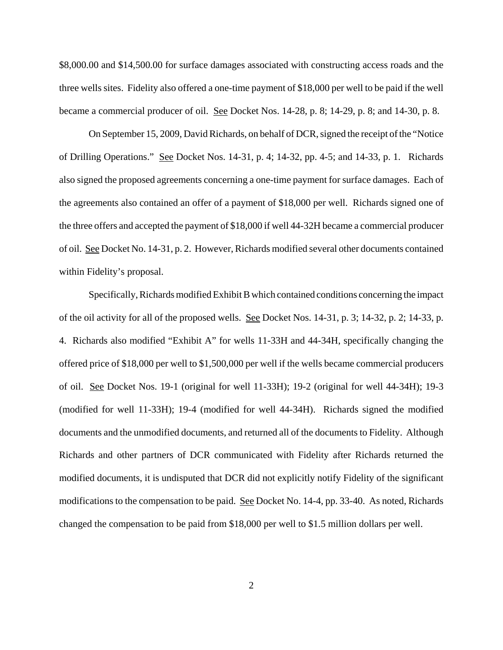\$8,000.00 and \$14,500.00 for surface damages associated with constructing access roads and the three wells sites. Fidelity also offered a one-time payment of \$18,000 per well to be paid if the well became a commercial producer of oil. See Docket Nos. 14-28, p. 8; 14-29, p. 8; and 14-30, p. 8.

On September 15, 2009, David Richards, on behalf of DCR, signed the receipt of the "Notice of Drilling Operations." See Docket Nos. 14-31, p. 4; 14-32, pp. 4-5; and 14-33, p. 1. Richards also signed the proposed agreements concerning a one-time payment for surface damages. Each of the agreements also contained an offer of a payment of \$18,000 per well. Richards signed one of the three offers and accepted the payment of \$18,000 if well 44-32H became a commercial producer of oil. See Docket No. 14-31, p. 2. However, Richards modified several other documents contained within Fidelity's proposal.

Specifically, Richards modified Exhibit B which contained conditions concerning the impact of the oil activity for all of the proposed wells. See Docket Nos. 14-31, p. 3; 14-32, p. 2; 14-33, p. 4. Richards also modified "Exhibit A" for wells 11-33H and 44-34H, specifically changing the offered price of \$18,000 per well to \$1,500,000 per well if the wells became commercial producers of oil. See Docket Nos. 19-1 (original for well 11-33H); 19-2 (original for well 44-34H); 19-3 (modified for well 11-33H); 19-4 (modified for well 44-34H). Richards signed the modified documents and the unmodified documents, and returned all of the documents to Fidelity. Although Richards and other partners of DCR communicated with Fidelity after Richards returned the modified documents, it is undisputed that DCR did not explicitly notify Fidelity of the significant modifications to the compensation to be paid. See Docket No. 14-4, pp. 33-40. As noted, Richards changed the compensation to be paid from \$18,000 per well to \$1.5 million dollars per well.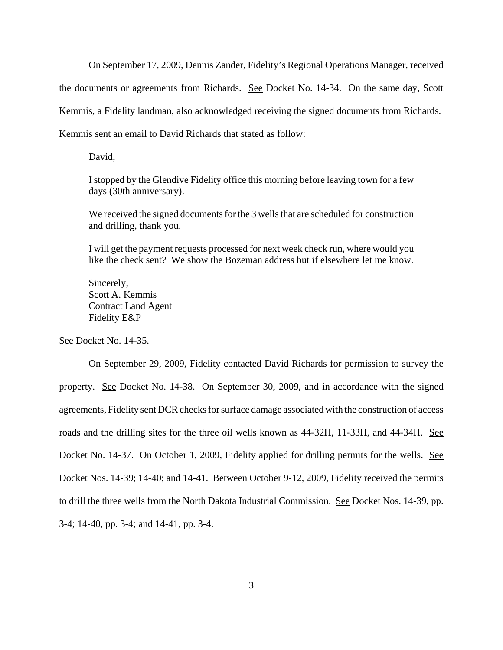On September 17, 2009, Dennis Zander, Fidelity's Regional Operations Manager, received the documents or agreements from Richards. See Docket No. 14-34. On the same day, Scott Kemmis, a Fidelity landman, also acknowledged receiving the signed documents from Richards. Kemmis sent an email to David Richards that stated as follow:

David,

I stopped by the Glendive Fidelity office this morning before leaving town for a few days (30th anniversary).

We received the signed documents for the 3 wells that are scheduled for construction and drilling, thank you.

I will get the payment requests processed for next week check run, where would you like the check sent? We show the Bozeman address but if elsewhere let me know.

Sincerely, Scott A. Kemmis Contract Land Agent Fidelity E&P

See Docket No. 14-35.

On September 29, 2009, Fidelity contacted David Richards for permission to survey the property. See Docket No. 14-38. On September 30, 2009, and in accordance with the signed agreements, Fidelity sent DCR checks for surface damage associated with the construction of access roads and the drilling sites for the three oil wells known as 44-32H, 11-33H, and 44-34H. See Docket No. 14-37. On October 1, 2009, Fidelity applied for drilling permits for the wells. See Docket Nos. 14-39; 14-40; and 14-41. Between October 9-12, 2009, Fidelity received the permits to drill the three wells from the North Dakota Industrial Commission. See Docket Nos. 14-39, pp. 3-4; 14-40, pp. 3-4; and 14-41, pp. 3-4.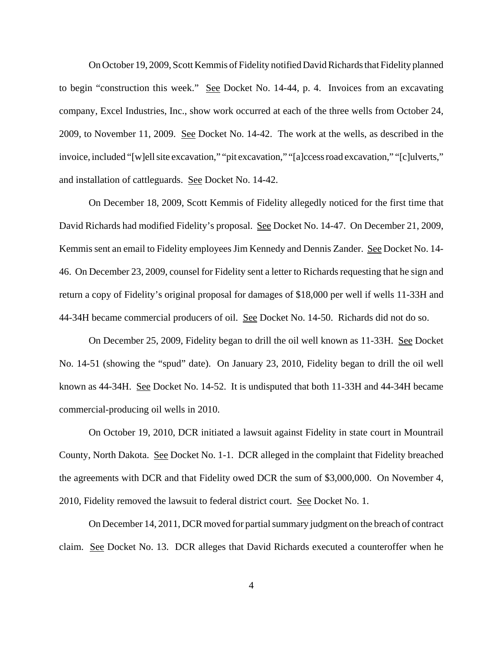On October 19, 2009, Scott Kemmis of Fidelity notified David Richards that Fidelity planned to begin "construction this week." See Docket No. 14-44, p. 4. Invoices from an excavating company, Excel Industries, Inc., show work occurred at each of the three wells from October 24, 2009, to November 11, 2009. See Docket No. 14-42. The work at the wells, as described in the invoice, included "[w]ell site excavation," "pit excavation," "[a]ccess road excavation," "[c]ulverts," and installation of cattleguards. See Docket No. 14-42.

On December 18, 2009, Scott Kemmis of Fidelity allegedly noticed for the first time that David Richards had modified Fidelity's proposal. See Docket No. 14-47. On December 21, 2009, Kemmis sent an email to Fidelity employees Jim Kennedy and Dennis Zander. See Docket No. 14- 46. On December 23, 2009, counsel for Fidelity sent a letter to Richards requesting that he sign and return a copy of Fidelity's original proposal for damages of \$18,000 per well if wells 11-33H and 44-34H became commercial producers of oil. See Docket No. 14-50. Richards did not do so.

On December 25, 2009, Fidelity began to drill the oil well known as 11-33H. See Docket No. 14-51 (showing the "spud" date). On January 23, 2010, Fidelity began to drill the oil well known as 44-34H. See Docket No. 14-52. It is undisputed that both 11-33H and 44-34H became commercial-producing oil wells in 2010.

On October 19, 2010, DCR initiated a lawsuit against Fidelity in state court in Mountrail County, North Dakota. See Docket No. 1-1. DCR alleged in the complaint that Fidelity breached the agreements with DCR and that Fidelity owed DCR the sum of \$3,000,000. On November 4, 2010, Fidelity removed the lawsuit to federal district court. See Docket No. 1.

On December 14, 2011, DCR moved for partial summary judgment on the breach of contract claim. See Docket No. 13. DCR alleges that David Richards executed a counteroffer when he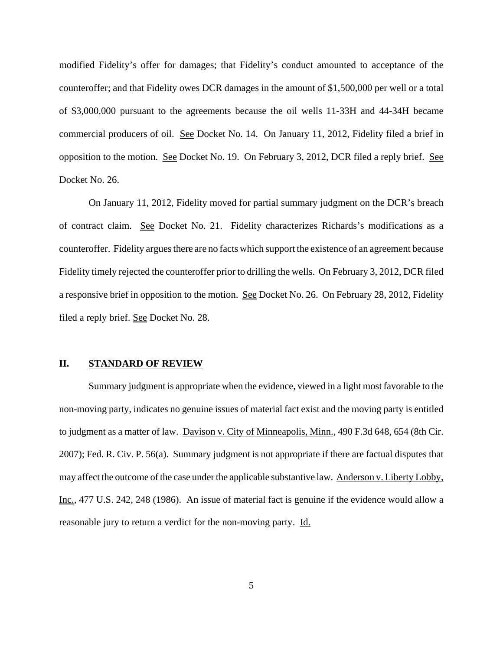modified Fidelity's offer for damages; that Fidelity's conduct amounted to acceptance of the counteroffer; and that Fidelity owes DCR damages in the amount of \$1,500,000 per well or a total of \$3,000,000 pursuant to the agreements because the oil wells 11-33H and 44-34H became commercial producers of oil. See Docket No. 14. On January 11, 2012, Fidelity filed a brief in opposition to the motion. See Docket No. 19. On February 3, 2012, DCR filed a reply brief. See Docket No. 26.

On January 11, 2012, Fidelity moved for partial summary judgment on the DCR's breach of contract claim. See Docket No. 21. Fidelity characterizes Richards's modifications as a counteroffer. Fidelity argues there are no facts which support the existence of an agreement because Fidelity timely rejected the counteroffer prior to drilling the wells. On February 3, 2012, DCR filed a responsive brief in opposition to the motion. See Docket No. 26. On February 28, 2012, Fidelity filed a reply brief. See Docket No. 28.

## **II. STANDARD OF REVIEW**

Summary judgment is appropriate when the evidence, viewed in a light most favorable to the non-moving party, indicates no genuine issues of material fact exist and the moving party is entitled to judgment as a matter of law. Davison v. City of Minneapolis, Minn., 490 F.3d 648, 654 (8th Cir. 2007); Fed. R. Civ. P. 56(a). Summary judgment is not appropriate if there are factual disputes that may affect the outcome of the case under the applicable substantive law. Anderson v. Liberty Lobby, Inc., 477 U.S. 242, 248 (1986). An issue of material fact is genuine if the evidence would allow a reasonable jury to return a verdict for the non-moving party. Id.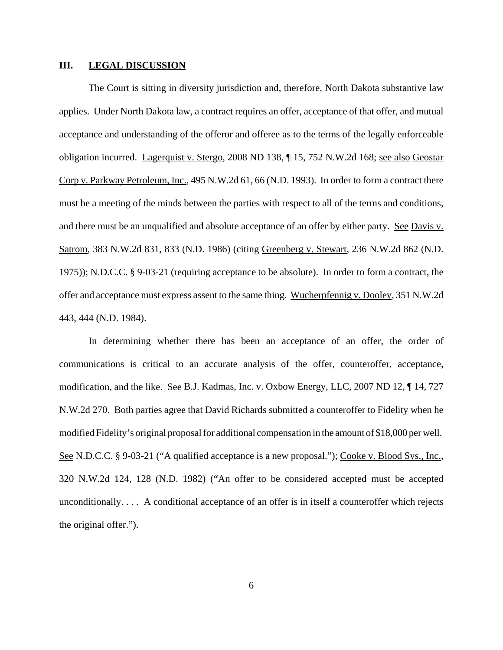#### **III. LEGAL DISCUSSION**

The Court is sitting in diversity jurisdiction and, therefore, North Dakota substantive law applies.Under North Dakota law, a contract requires an offer, acceptance of that offer, and mutual acceptance and understanding of the offeror and offeree as to the terms of the legally enforceable obligation incurred. Lagerquist v. Stergo, 2008 ND 138, ¶ 15, 752 N.W.2d 168; see also Geostar Corp v. Parkway Petroleum, Inc., 495 N.W.2d 61, 66 (N.D. 1993). In order to form a contract there must be a meeting of the minds between the parties with respect to all of the terms and conditions, and there must be an unqualified and absolute acceptance of an offer by either party. See Davis v. Satrom, 383 N.W.2d 831, 833 (N.D. 1986) (citing Greenberg v. Stewart, 236 N.W.2d 862 (N.D. 1975)); N.D.C.C. § 9-03-21 (requiring acceptance to be absolute). In order to form a contract, the offer and acceptance must express assent to the same thing. Wucherpfennig v. Dooley, 351 N.W.2d 443, 444 (N.D. 1984).

In determining whether there has been an acceptance of an offer, the order of communications is critical to an accurate analysis of the offer, counteroffer, acceptance, modification, and the like. See B.J. Kadmas, Inc. v. Oxbow Energy, LLC, 2007 ND 12, ¶ 14, 727 N.W.2d 270. Both parties agree that David Richards submitted a counteroffer to Fidelity when he modified Fidelity's original proposal for additional compensation in the amount of \$18,000 per well. See N.D.C.C. § 9-03-21 ("A qualified acceptance is a new proposal."); Cooke v. Blood Sys., Inc., 320 N.W.2d 124, 128 (N.D. 1982) ("An offer to be considered accepted must be accepted unconditionally. . . . A conditional acceptance of an offer is in itself a counteroffer which rejects the original offer.").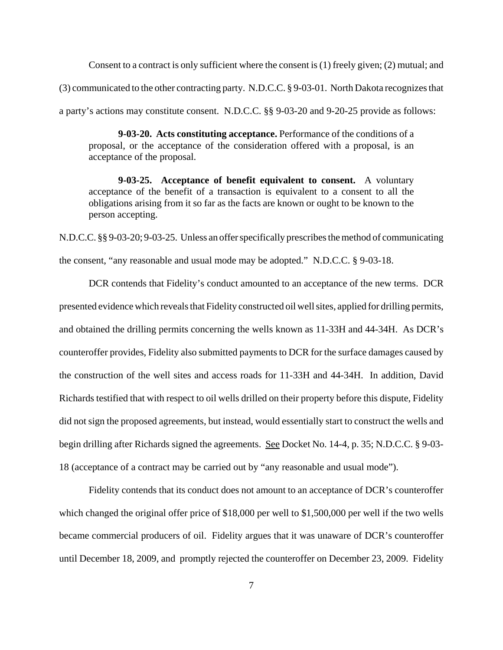Consent to a contract is only sufficient where the consent is (1) freely given; (2) mutual; and (3) communicated to the other contracting party. N.D.C.C. § 9-03-01. North Dakota recognizes that a party's actions may constitute consent. N.D.C.C. §§ 9-03-20 and 9-20-25 provide as follows:

**9-03-20. Acts constituting acceptance.** Performance of the conditions of a proposal, or the acceptance of the consideration offered with a proposal, is an acceptance of the proposal.

**9-03-25. Acceptance of benefit equivalent to consent.** A voluntary acceptance of the benefit of a transaction is equivalent to a consent to all the obligations arising from it so far as the facts are known or ought to be known to the person accepting.

N.D.C.C. §§ 9-03-20; 9-03-25. Unless an offer specifically prescribes the method of communicating the consent, "any reasonable and usual mode may be adopted." N.D.C.C. § 9-03-18.

DCR contends that Fidelity's conduct amounted to an acceptance of the new terms. DCR presented evidence which reveals that Fidelity constructed oil well sites, applied for drilling permits, and obtained the drilling permits concerning the wells known as 11-33H and 44-34H. As DCR's counteroffer provides, Fidelity also submitted payments to DCR for the surface damages caused by the construction of the well sites and access roads for 11-33H and 44-34H. In addition, David Richards testified that with respect to oil wells drilled on their property before this dispute, Fidelity did not sign the proposed agreements, but instead, would essentially start to construct the wells and begin drilling after Richards signed the agreements. See Docket No. 14-4, p. 35; N.D.C.C. § 9-03- 18 (acceptance of a contract may be carried out by "any reasonable and usual mode").

Fidelity contends that its conduct does not amount to an acceptance of DCR's counteroffer which changed the original offer price of \$18,000 per well to \$1,500,000 per well if the two wells became commercial producers of oil. Fidelity argues that it was unaware of DCR's counteroffer until December 18, 2009, and promptly rejected the counteroffer on December 23, 2009. Fidelity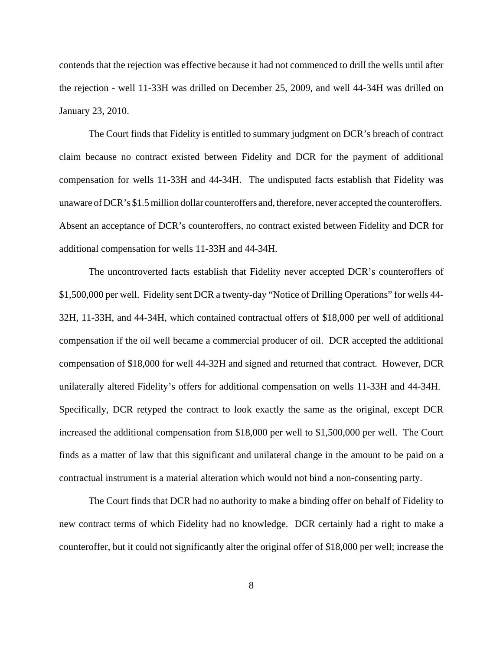contends that the rejection was effective because it had not commenced to drill the wells until after the rejection - well 11-33H was drilled on December 25, 2009, and well 44-34H was drilled on January 23, 2010.

The Court finds that Fidelity is entitled to summary judgment on DCR's breach of contract claim because no contract existed between Fidelity and DCR for the payment of additional compensation for wells 11-33H and 44-34H. The undisputed facts establish that Fidelity was unaware of DCR's \$1.5 million dollar counteroffers and, therefore, never accepted the counteroffers. Absent an acceptance of DCR's counteroffers, no contract existed between Fidelity and DCR for additional compensation for wells 11-33H and 44-34H.

The uncontroverted facts establish that Fidelity never accepted DCR's counteroffers of \$1,500,000 per well. Fidelity sent DCR a twenty-day "Notice of Drilling Operations" for wells 44- 32H, 11-33H, and 44-34H, which contained contractual offers of \$18,000 per well of additional compensation if the oil well became a commercial producer of oil. DCR accepted the additional compensation of \$18,000 for well 44-32H and signed and returned that contract. However, DCR unilaterally altered Fidelity's offers for additional compensation on wells 11-33H and 44-34H. Specifically, DCR retyped the contract to look exactly the same as the original, except DCR increased the additional compensation from \$18,000 per well to \$1,500,000 per well. The Court finds as a matter of law that this significant and unilateral change in the amount to be paid on a contractual instrument is a material alteration which would not bind a non-consenting party.

The Court finds that DCR had no authority to make a binding offer on behalf of Fidelity to new contract terms of which Fidelity had no knowledge. DCR certainly had a right to make a counteroffer, but it could not significantly alter the original offer of \$18,000 per well; increase the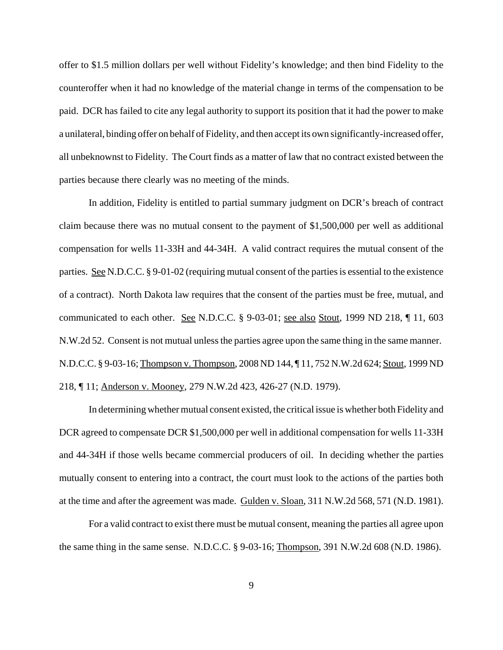offer to \$1.5 million dollars per well without Fidelity's knowledge; and then bind Fidelity to the counteroffer when it had no knowledge of the material change in terms of the compensation to be paid. DCR has failed to cite any legal authority to support its position that it had the power to make a unilateral, binding offer on behalf of Fidelity, and then accept its own significantly-increased offer, all unbeknownst to Fidelity. The Court finds as a matter of law that no contract existed between the parties because there clearly was no meeting of the minds.

In addition, Fidelity is entitled to partial summary judgment on DCR's breach of contract claim because there was no mutual consent to the payment of \$1,500,000 per well as additional compensation for wells 11-33H and 44-34H. A valid contract requires the mutual consent of the parties. See N.D.C.C. § 9-01-02 (requiring mutual consent of the parties is essential to the existence of a contract). North Dakota law requires that the consent of the parties must be free, mutual, and communicated to each other. See N.D.C.C. § 9-03-01; see also Stout, 1999 ND 218, ¶ 11, 603 N.W.2d 52. Consent is not mutual unless the parties agree upon the same thing in the same manner. N.D.C.C. § 9-03-16; Thompson v. Thompson, 2008 ND 144, ¶ 11, 752 N.W.2d 624; Stout, 1999 ND 218, ¶ 11; Anderson v. Mooney, 279 N.W.2d 423, 426-27 (N.D. 1979).

In determining whether mutual consent existed, the critical issue is whether both Fidelity and DCR agreed to compensate DCR \$1,500,000 per well in additional compensation for wells 11-33H and 44-34H if those wells became commercial producers of oil. In deciding whether the parties mutually consent to entering into a contract, the court must look to the actions of the parties both at the time and after the agreement was made. Gulden v. Sloan, 311 N.W.2d 568, 571 (N.D. 1981).

For a valid contract to exist there must be mutual consent, meaning the parties all agree upon the same thing in the same sense. N.D.C.C. § 9-03-16; Thompson, 391 N.W.2d 608 (N.D. 1986).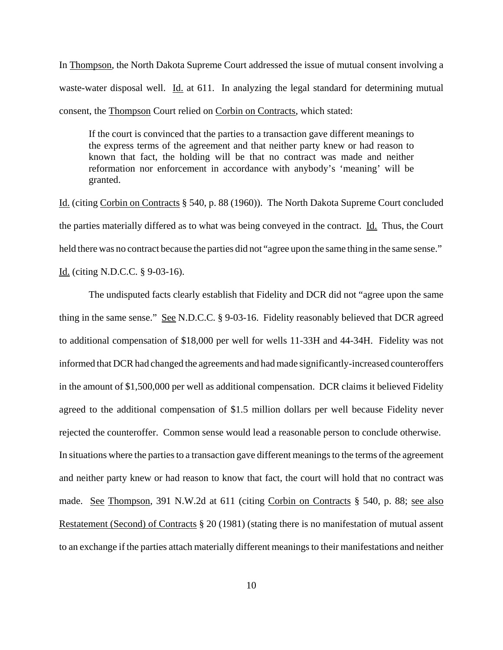In Thompson, the North Dakota Supreme Court addressed the issue of mutual consent involving a waste-water disposal well. Id. at 611. In analyzing the legal standard for determining mutual consent, the Thompson Court relied on Corbin on Contracts, which stated:

If the court is convinced that the parties to a transaction gave different meanings to the express terms of the agreement and that neither party knew or had reason to known that fact, the holding will be that no contract was made and neither reformation nor enforcement in accordance with anybody's 'meaning' will be granted.

Id. (citing Corbin on Contracts § 540, p. 88 (1960)). The North Dakota Supreme Court concluded the parties materially differed as to what was being conveyed in the contract. Id. Thus, the Court held there was no contract because the parties did not "agree upon the same thing in the same sense."

Id. (citing N.D.C.C. § 9-03-16).

The undisputed facts clearly establish that Fidelity and DCR did not "agree upon the same thing in the same sense." See N.D.C.C. § 9-03-16. Fidelity reasonably believed that DCR agreed to additional compensation of \$18,000 per well for wells 11-33H and 44-34H. Fidelity was not informed that DCR had changed the agreements and had made significantly-increased counteroffers in the amount of \$1,500,000 per well as additional compensation. DCR claims it believed Fidelity agreed to the additional compensation of \$1.5 million dollars per well because Fidelity never rejected the counteroffer. Common sense would lead a reasonable person to conclude otherwise. In situations where the parties to a transaction gave different meanings to the terms of the agreement and neither party knew or had reason to know that fact, the court will hold that no contract was made. See Thompson, 391 N.W.2d at 611 (citing Corbin on Contracts § 540, p. 88; see also Restatement (Second) of Contracts § 20 (1981) (stating there is no manifestation of mutual assent to an exchange if the parties attach materially different meanings to their manifestations and neither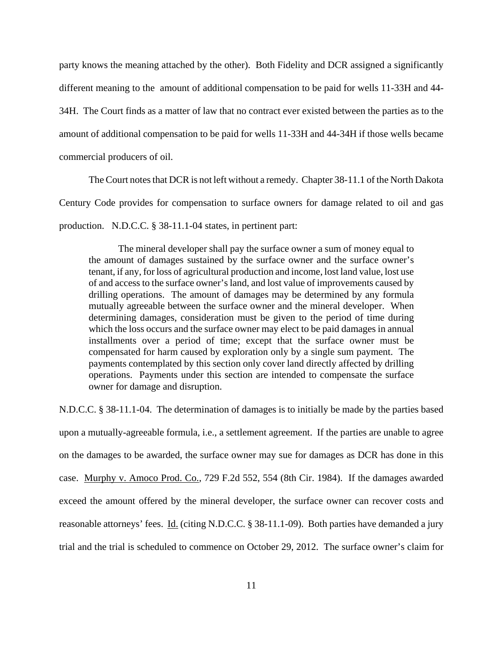party knows the meaning attached by the other). Both Fidelity and DCR assigned a significantly different meaning to the amount of additional compensation to be paid for wells 11-33H and 44- 34H. The Court finds as a matter of law that no contract ever existed between the parties as to the amount of additional compensation to be paid for wells 11-33H and 44-34H if those wells became commercial producers of oil.

The Court notes that DCR is not left without a remedy. Chapter 38-11.1 of the North Dakota Century Code provides for compensation to surface owners for damage related to oil and gas production. N.D.C.C. § 38-11.1-04 states, in pertinent part:

The mineral developer shall pay the surface owner a sum of money equal to the amount of damages sustained by the surface owner and the surface owner's tenant, if any, for loss of agricultural production and income, lost land value, lost use of and access to the surface owner's land, and lost value of improvements caused by drilling operations. The amount of damages may be determined by any formula mutually agreeable between the surface owner and the mineral developer. When determining damages, consideration must be given to the period of time during which the loss occurs and the surface owner may elect to be paid damages in annual installments over a period of time; except that the surface owner must be compensated for harm caused by exploration only by a single sum payment. The payments contemplated by this section only cover land directly affected by drilling operations. Payments under this section are intended to compensate the surface owner for damage and disruption.

N.D.C.C. § 38-11.1-04. The determination of damages is to initially be made by the parties based upon a mutually-agreeable formula, i.e., a settlement agreement. If the parties are unable to agree on the damages to be awarded, the surface owner may sue for damages as DCR has done in this case. Murphy v. Amoco Prod. Co., 729 F.2d 552, 554 (8th Cir. 1984). If the damages awarded exceed the amount offered by the mineral developer, the surface owner can recover costs and reasonable attorneys' fees. Id. (citing N.D.C.C. § 38-11.1-09). Both parties have demanded a jury trial and the trial is scheduled to commence on October 29, 2012. The surface owner's claim for